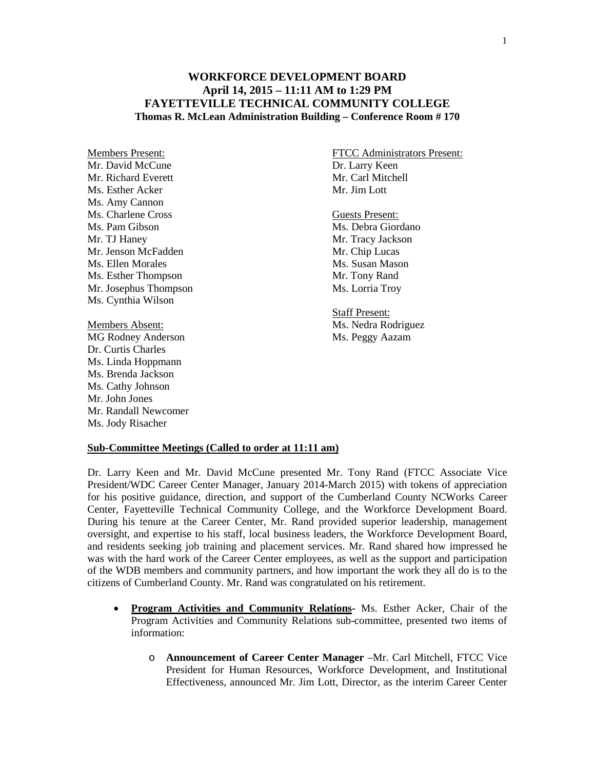## **WORKFORCE DEVELOPMENT BOARD April 14, 2015 – 11:11 AM to 1:29 PM FAYETTEVILLE TECHNICAL COMMUNITY COLLEGE Thomas R. McLean Administration Building – Conference Room # 170**

Mr. David McCune Dr. Larry Keen Mr. Richard Everett Mr. Carl Mitchell Ms. Esther Acker Mr. Jim Lott Ms. Amy Cannon Ms. Charlene Cross Guests Present: Ms. Pam Gibson Ms. Debra Giordano Mr. TJ Haney Mr. Tracy Jackson<br>
Mr. Jenson McFadden Mr. Chip Lucas Mr. Jenson McFadden Ms. Ellen Morales Ms. Susan Mason Ms. Esther Thompson Mr. Tony Rand Mr. Josephus Thompson Ms. Lorria Troy Ms. Cynthia Wilson

MG Rodney Anderson Ms. Peggy Aazam Dr. Curtis Charles Ms. Linda Hoppmann Ms. Brenda Jackson Ms. Cathy Johnson Mr. John Jones Mr. Randall Newcomer Ms. Jody Risacher

Members Present: FTCC Administrators Present:

Staff Present: Members Absent: Ms. Nedra Rodriguez

## **Sub-Committee Meetings (Called to order at 11:11 am)**

Dr. Larry Keen and Mr. David McCune presented Mr. Tony Rand (FTCC Associate Vice President/WDC Career Center Manager, January 2014-March 2015) with tokens of appreciation for his positive guidance, direction, and support of the Cumberland County NCWorks Career Center, Fayetteville Technical Community College, and the Workforce Development Board. During his tenure at the Career Center, Mr. Rand provided superior leadership, management oversight, and expertise to his staff, local business leaders, the Workforce Development Board, and residents seeking job training and placement services. Mr. Rand shared how impressed he was with the hard work of the Career Center employees, as well as the support and participation of the WDB members and community partners, and how important the work they all do is to the citizens of Cumberland County. Mr. Rand was congratulated on his retirement.

- **Program Activities and Community Relations-** Ms. Esther Acker, Chair of the Program Activities and Community Relations sub-committee, presented two items of information:
	- o **Announcement of Career Center Manager** –Mr. Carl Mitchell, FTCC Vice President for Human Resources, Workforce Development, and Institutional Effectiveness, announced Mr. Jim Lott, Director, as the interim Career Center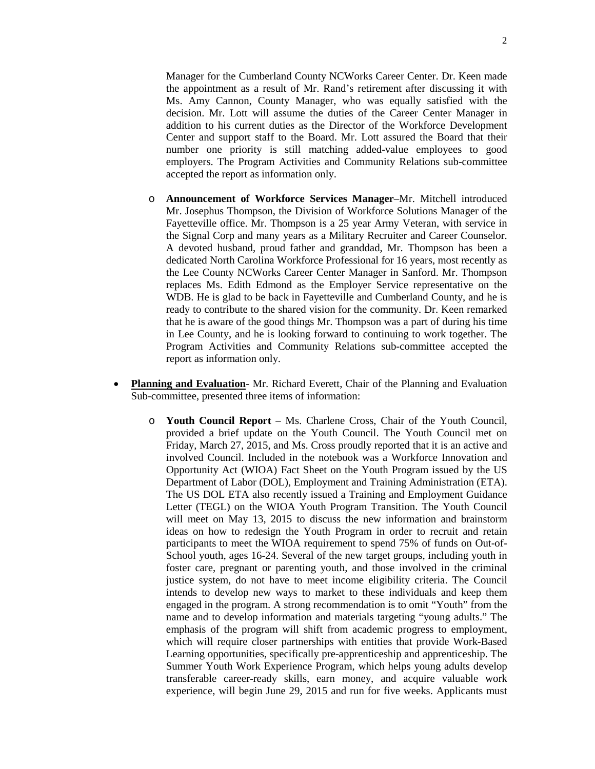Manager for the Cumberland County NCWorks Career Center. Dr. Keen made the appointment as a result of Mr. Rand's retirement after discussing it with Ms. Amy Cannon, County Manager, who was equally satisfied with the decision. Mr. Lott will assume the duties of the Career Center Manager in addition to his current duties as the Director of the Workforce Development Center and support staff to the Board. Mr. Lott assured the Board that their number one priority is still matching added-value employees to good employers. The Program Activities and Community Relations sub-committee accepted the report as information only.

- o **Announcement of Workforce Services Manager**–Mr. Mitchell introduced Mr. Josephus Thompson, the Division of Workforce Solutions Manager of the Fayetteville office. Mr. Thompson is a 25 year Army Veteran, with service in the Signal Corp and many years as a Military Recruiter and Career Counselor. A devoted husband, proud father and granddad, Mr. Thompson has been a dedicated North Carolina Workforce Professional for 16 years, most recently as the Lee County NCWorks Career Center Manager in Sanford. Mr. Thompson replaces Ms. Edith Edmond as the Employer Service representative on the WDB. He is glad to be back in Fayetteville and Cumberland County, and he is ready to contribute to the shared vision for the community. Dr. Keen remarked that he is aware of the good things Mr. Thompson was a part of during his time in Lee County, and he is looking forward to continuing to work together. The Program Activities and Community Relations sub-committee accepted the report as information only.
- **Planning and Evaluation-** Mr. Richard Everett, Chair of the Planning and Evaluation Sub-committee, presented three items of information:
	- o **Youth Council Report**  Ms. Charlene Cross, Chair of the Youth Council, provided a brief update on the Youth Council. The Youth Council met on Friday, March 27, 2015, and Ms. Cross proudly reported that it is an active and involved Council. Included in the notebook was a Workforce Innovation and Opportunity Act (WIOA) Fact Sheet on the Youth Program issued by the US Department of Labor (DOL), Employment and Training Administration (ETA). The US DOL ETA also recently issued a Training and Employment Guidance Letter (TEGL) on the WIOA Youth Program Transition. The Youth Council will meet on May 13, 2015 to discuss the new information and brainstorm ideas on how to redesign the Youth Program in order to recruit and retain participants to meet the WIOA requirement to spend 75% of funds on Out-of-School youth, ages 16-24. Several of the new target groups, including youth in foster care, pregnant or parenting youth, and those involved in the criminal justice system, do not have to meet income eligibility criteria. The Council intends to develop new ways to market to these individuals and keep them engaged in the program. A strong recommendation is to omit "Youth" from the name and to develop information and materials targeting "young adults." The emphasis of the program will shift from academic progress to employment, which will require closer partnerships with entities that provide Work-Based Learning opportunities, specifically pre-apprenticeship and apprenticeship. The Summer Youth Work Experience Program, which helps young adults develop transferable career-ready skills, earn money, and acquire valuable work experience, will begin June 29, 2015 and run for five weeks. Applicants must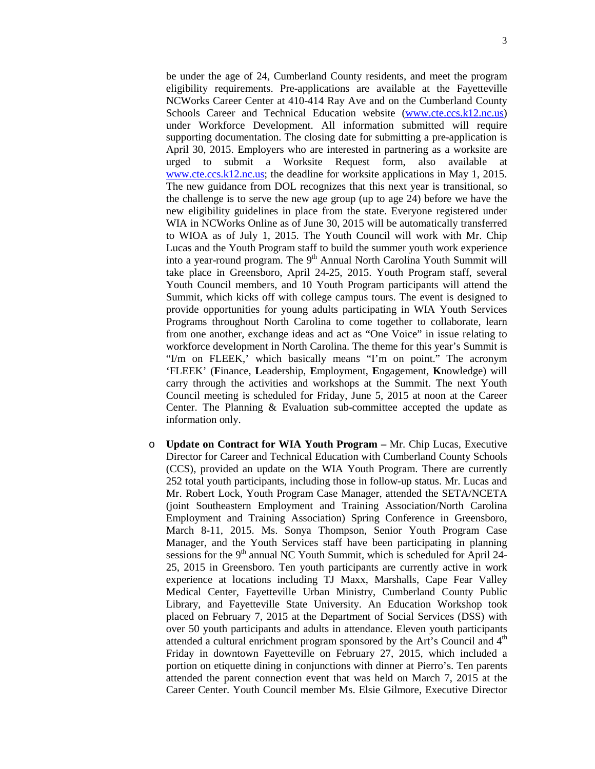be under the age of 24, Cumberland County residents, and meet the program eligibility requirements. Pre-applications are available at the Fayetteville NCWorks Career Center at 410-414 Ray Ave and on the Cumberland County Schools Career and Technical Education website [\(www.cte.ccs.k12.nc.us\)](http://www.cte.ccs.k12.nc.us/) under Workforce Development. All information submitted will require supporting documentation. The closing date for submitting a pre-application is April 30, 2015. Employers who are interested in partnering as a worksite are urged to submit a Worksite Request form, also available at [www.cte.ccs.k12.nc.us;](http://www.cte.ccs.k12.nc.us/) the deadline for worksite applications in May 1, 2015. The new guidance from DOL recognizes that this next year is transitional, so the challenge is to serve the new age group (up to age 24) before we have the new eligibility guidelines in place from the state. Everyone registered under WIA in NCWorks Online as of June 30, 2015 will be automatically transferred to WIOA as of July 1, 2015. The Youth Council will work with Mr. Chip Lucas and the Youth Program staff to build the summer youth work experience into a year-round program. The  $9<sup>th</sup>$  Annual North Carolina Youth Summit will take place in Greensboro, April 24-25, 2015. Youth Program staff, several Youth Council members, and 10 Youth Program participants will attend the Summit, which kicks off with college campus tours. The event is designed to provide opportunities for young adults participating in WIA Youth Services Programs throughout North Carolina to come together to collaborate, learn from one another, exchange ideas and act as "One Voice" in issue relating to workforce development in North Carolina. The theme for this year's Summit is "I/m on FLEEK,' which basically means "I'm on point." The acronym 'FLEEK' (**F**inance, **L**eadership, **E**mployment, **E**ngagement, **K**nowledge) will carry through the activities and workshops at the Summit. The next Youth Council meeting is scheduled for Friday, June 5, 2015 at noon at the Career Center. The Planning & Evaluation sub-committee accepted the update as information only.

o **Update on Contract for WIA Youth Program –** Mr. Chip Lucas, Executive Director for Career and Technical Education with Cumberland County Schools (CCS), provided an update on the WIA Youth Program. There are currently 252 total youth participants, including those in follow-up status. Mr. Lucas and Mr. Robert Lock, Youth Program Case Manager, attended the SETA/NCETA (joint Southeastern Employment and Training Association/North Carolina Employment and Training Association) Spring Conference in Greensboro, March 8-11, 2015. Ms. Sonya Thompson, Senior Youth Program Case Manager, and the Youth Services staff have been participating in planning sessions for the  $9<sup>th</sup>$  annual NC Youth Summit, which is scheduled for April 24-25, 2015 in Greensboro. Ten youth participants are currently active in work experience at locations including TJ Maxx, Marshalls, Cape Fear Valley Medical Center, Fayetteville Urban Ministry, Cumberland County Public Library, and Fayetteville State University. An Education Workshop took placed on February 7, 2015 at the Department of Social Services (DSS) with over 50 youth participants and adults in attendance. Eleven youth participants attended a cultural enrichment program sponsored by the Art's Council and 4<sup>th</sup> Friday in downtown Fayetteville on February 27, 2015, which included a portion on etiquette dining in conjunctions with dinner at Pierro's. Ten parents attended the parent connection event that was held on March 7, 2015 at the Career Center. Youth Council member Ms. Elsie Gilmore, Executive Director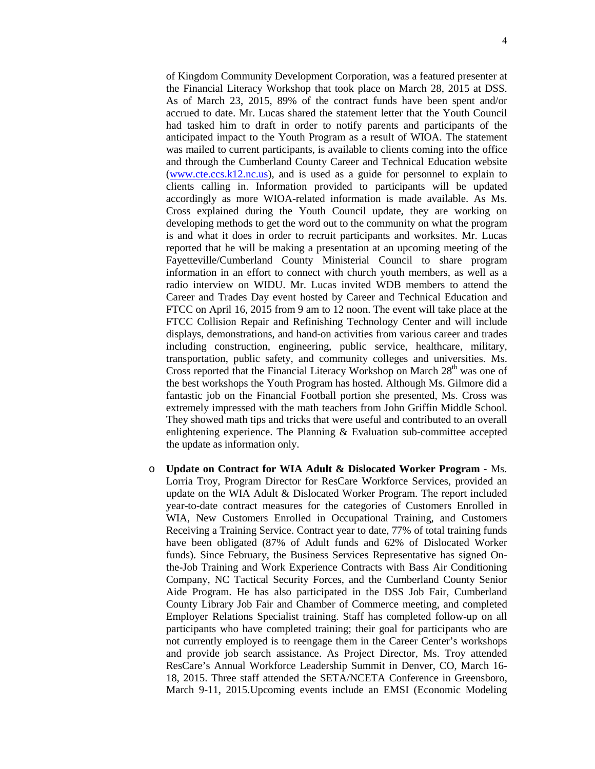of Kingdom Community Development Corporation, was a featured presenter at the Financial Literacy Workshop that took place on March 28, 2015 at DSS. As of March 23, 2015, 89% of the contract funds have been spent and/or accrued to date. Mr. Lucas shared the statement letter that the Youth Council had tasked him to draft in order to notify parents and participants of the anticipated impact to the Youth Program as a result of WIOA. The statement was mailed to current participants, is available to clients coming into the office and through the Cumberland County Career and Technical Education website [\(www.cte.ccs.k12.nc.us\)](http://www.cte.ccs.k12.nc.us/), and is used as a guide for personnel to explain to clients calling in. Information provided to participants will be updated accordingly as more WIOA-related information is made available. As Ms. Cross explained during the Youth Council update, they are working on developing methods to get the word out to the community on what the program is and what it does in order to recruit participants and worksites. Mr. Lucas reported that he will be making a presentation at an upcoming meeting of the Fayetteville/Cumberland County Ministerial Council to share program information in an effort to connect with church youth members, as well as a radio interview on WIDU. Mr. Lucas invited WDB members to attend the Career and Trades Day event hosted by Career and Technical Education and FTCC on April 16, 2015 from 9 am to 12 noon. The event will take place at the FTCC Collision Repair and Refinishing Technology Center and will include displays, demonstrations, and hand-on activities from various career and trades including construction, engineering, public service, healthcare, military, transportation, public safety, and community colleges and universities. Ms. Cross reported that the Financial Literacy Workshop on March 28<sup>th</sup> was one of the best workshops the Youth Program has hosted. Although Ms. Gilmore did a fantastic job on the Financial Football portion she presented, Ms. Cross was extremely impressed with the math teachers from John Griffin Middle School. They showed math tips and tricks that were useful and contributed to an overall enlightening experience. The Planning & Evaluation sub-committee accepted the update as information only.

o **Update on Contract for WIA Adult & Dislocated Worker Program -** Ms. Lorria Troy, Program Director for ResCare Workforce Services, provided an update on the WIA Adult & Dislocated Worker Program. The report included year-to-date contract measures for the categories of Customers Enrolled in WIA, New Customers Enrolled in Occupational Training, and Customers Receiving a Training Service. Contract year to date, 77% of total training funds have been obligated (87% of Adult funds and 62% of Dislocated Worker funds). Since February, the Business Services Representative has signed Onthe-Job Training and Work Experience Contracts with Bass Air Conditioning Company, NC Tactical Security Forces, and the Cumberland County Senior Aide Program. He has also participated in the DSS Job Fair, Cumberland County Library Job Fair and Chamber of Commerce meeting, and completed Employer Relations Specialist training. Staff has completed follow-up on all participants who have completed training; their goal for participants who are not currently employed is to reengage them in the Career Center's workshops and provide job search assistance. As Project Director, Ms. Troy attended ResCare's Annual Workforce Leadership Summit in Denver, CO, March 16- 18, 2015. Three staff attended the SETA/NCETA Conference in Greensboro, March 9-11, 2015.Upcoming events include an EMSI (Economic Modeling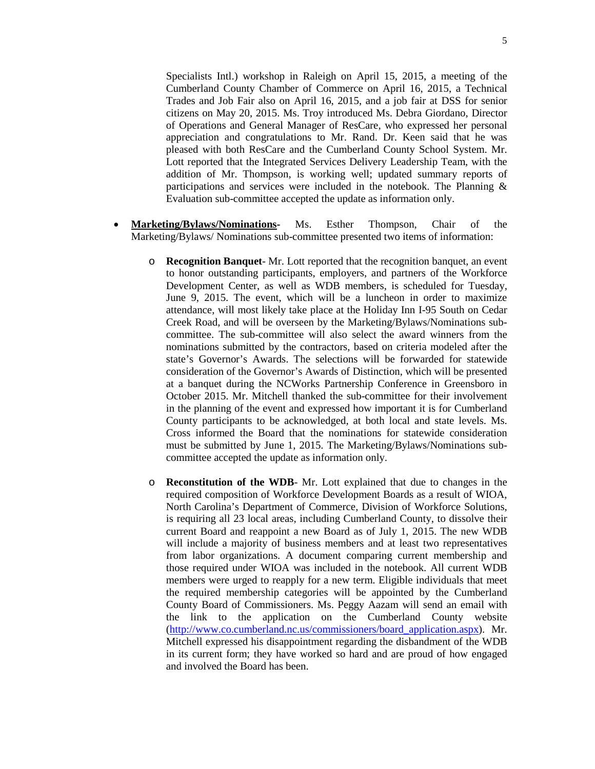5

Specialists Intl.) workshop in Raleigh on April 15, 2015, a meeting of the Cumberland County Chamber of Commerce on April 16, 2015, a Technical Trades and Job Fair also on April 16, 2015, and a job fair at DSS for senior citizens on May 20, 2015. Ms. Troy introduced Ms. Debra Giordano, Director of Operations and General Manager of ResCare, who expressed her personal appreciation and congratulations to Mr. Rand. Dr. Keen said that he was pleased with both ResCare and the Cumberland County School System. Mr. Lott reported that the Integrated Services Delivery Leadership Team, with the addition of Mr. Thompson, is working well; updated summary reports of participations and services were included in the notebook. The Planning & Evaluation sub-committee accepted the update as information only.

- **Marketing/Bylaws/Nominations-** Ms. Esther Thompson, Chair of the Marketing/Bylaws/ Nominations sub-committee presented two items of information:
	- o **Recognition Banquet** Mr. Lott reported that the recognition banquet, an event to honor outstanding participants, employers, and partners of the Workforce Development Center, as well as WDB members, is scheduled for Tuesday, June 9, 2015. The event, which will be a luncheon in order to maximize attendance, will most likely take place at the Holiday Inn I-95 South on Cedar Creek Road, and will be overseen by the Marketing/Bylaws/Nominations subcommittee. The sub-committee will also select the award winners from the nominations submitted by the contractors, based on criteria modeled after the state's Governor's Awards. The selections will be forwarded for statewide consideration of the Governor's Awards of Distinction, which will be presented at a banquet during the NCWorks Partnership Conference in Greensboro in October 2015. Mr. Mitchell thanked the sub-committee for their involvement in the planning of the event and expressed how important it is for Cumberland County participants to be acknowledged, at both local and state levels. Ms. Cross informed the Board that the nominations for statewide consideration must be submitted by June 1, 2015. The Marketing/Bylaws/Nominations subcommittee accepted the update as information only.
	- o **Reconstitution of the WDB** Mr. Lott explained that due to changes in the required composition of Workforce Development Boards as a result of WIOA, North Carolina's Department of Commerce, Division of Workforce Solutions, is requiring all 23 local areas, including Cumberland County, to dissolve their current Board and reappoint a new Board as of July 1, 2015. The new WDB will include a majority of business members and at least two representatives from labor organizations. A document comparing current membership and those required under WIOA was included in the notebook. All current WDB members were urged to reapply for a new term. Eligible individuals that meet the required membership categories will be appointed by the Cumberland County Board of Commissioners. Ms. Peggy Aazam will send an email with the link to the application on the Cumberland County website [\(http://www.co.cumberland.nc.us/commissioners/board\\_application.aspx\)](http://www.co.cumberland.nc.us/commissioners/board_application.aspx). Mr. Mitchell expressed his disappointment regarding the disbandment of the WDB in its current form; they have worked so hard and are proud of how engaged and involved the Board has been.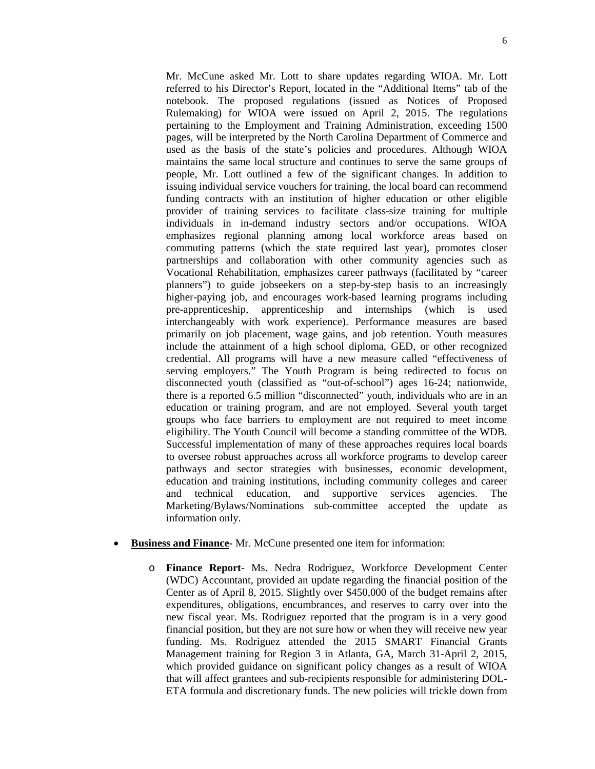Mr. McCune asked Mr. Lott to share updates regarding WIOA. Mr. Lott referred to his Director's Report, located in the "Additional Items" tab of the notebook. The proposed regulations (issued as Notices of Proposed Rulemaking) for WIOA were issued on April 2, 2015. The regulations pertaining to the Employment and Training Administration, exceeding 1500 pages, will be interpreted by the North Carolina Department of Commerce and used as the basis of the state's policies and procedures. Although WIOA maintains the same local structure and continues to serve the same groups of people, Mr. Lott outlined a few of the significant changes. In addition to issuing individual service vouchers for training, the local board can recommend funding contracts with an institution of higher education or other eligible provider of training services to facilitate class-size training for multiple individuals in in-demand industry sectors and/or occupations. WIOA emphasizes regional planning among local workforce areas based on commuting patterns (which the state required last year), promotes closer partnerships and collaboration with other community agencies such as Vocational Rehabilitation, emphasizes career pathways (facilitated by "career planners") to guide jobseekers on a step-by-step basis to an increasingly higher-paying job, and encourages work-based learning programs including pre-apprenticeship, apprenticeship and internships (which is used interchangeably with work experience). Performance measures are based primarily on job placement, wage gains, and job retention. Youth measures include the attainment of a high school diploma, GED, or other recognized credential. All programs will have a new measure called "effectiveness of serving employers." The Youth Program is being redirected to focus on disconnected youth (classified as "out-of-school") ages 16-24; nationwide, there is a reported 6.5 million "disconnected" youth, individuals who are in an education or training program, and are not employed. Several youth target groups who face barriers to employment are not required to meet income eligibility. The Youth Council will become a standing committee of the WDB. Successful implementation of many of these approaches requires local boards to oversee robust approaches across all workforce programs to develop career pathways and sector strategies with businesses, economic development, education and training institutions, including community colleges and career and technical education, and supportive services agencies. The Marketing/Bylaws/Nominations sub-committee accepted the update as information only.

- **Business and Finance-** Mr. McCune presented one item for information:
	- o **Finance Report** Ms. Nedra Rodriguez, Workforce Development Center (WDC) Accountant, provided an update regarding the financial position of the Center as of April 8, 2015. Slightly over \$450,000 of the budget remains after expenditures, obligations, encumbrances, and reserves to carry over into the new fiscal year. Ms. Rodriguez reported that the program is in a very good financial position, but they are not sure how or when they will receive new year funding. Ms. Rodriguez attended the 2015 SMART Financial Grants Management training for Region 3 in Atlanta, GA, March 31-April 2, 2015, which provided guidance on significant policy changes as a result of WIOA that will affect grantees and sub-recipients responsible for administering DOL-ETA formula and discretionary funds. The new policies will trickle down from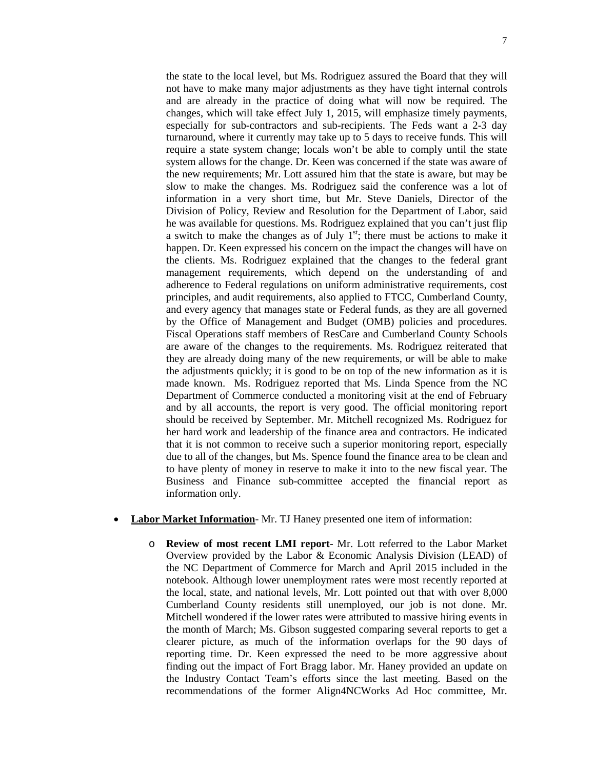the state to the local level, but Ms. Rodriguez assured the Board that they will not have to make many major adjustments as they have tight internal controls and are already in the practice of doing what will now be required. The changes, which will take effect July 1, 2015, will emphasize timely payments, especially for sub-contractors and sub-recipients. The Feds want a 2-3 day turnaround, where it currently may take up to 5 days to receive funds. This will require a state system change; locals won't be able to comply until the state system allows for the change. Dr. Keen was concerned if the state was aware of the new requirements; Mr. Lott assured him that the state is aware, but may be slow to make the changes. Ms. Rodriguez said the conference was a lot of information in a very short time, but Mr. Steve Daniels, Director of the Division of Policy, Review and Resolution for the Department of Labor, said he was available for questions. Ms. Rodriguez explained that you can't just flip a switch to make the changes as of July  $1<sup>st</sup>$ ; there must be actions to make it happen. Dr. Keen expressed his concern on the impact the changes will have on the clients. Ms. Rodriguez explained that the changes to the federal grant management requirements, which depend on the understanding of and adherence to Federal regulations on uniform administrative requirements, cost principles, and audit requirements, also applied to FTCC, Cumberland County, and every agency that manages state or Federal funds, as they are all governed by the Office of Management and Budget (OMB) policies and procedures. Fiscal Operations staff members of ResCare and Cumberland County Schools are aware of the changes to the requirements. Ms. Rodriguez reiterated that they are already doing many of the new requirements, or will be able to make the adjustments quickly; it is good to be on top of the new information as it is made known. Ms. Rodriguez reported that Ms. Linda Spence from the NC Department of Commerce conducted a monitoring visit at the end of February and by all accounts, the report is very good. The official monitoring report should be received by September. Mr. Mitchell recognized Ms. Rodriguez for her hard work and leadership of the finance area and contractors. He indicated that it is not common to receive such a superior monitoring report, especially due to all of the changes, but Ms. Spence found the finance area to be clean and to have plenty of money in reserve to make it into to the new fiscal year. The Business and Finance sub-committee accepted the financial report as information only.

- **Labor Market Information** Mr. TJ Haney presented one item of information:
	- o **Review of most recent LMI report** Mr. Lott referred to the Labor Market Overview provided by the Labor & Economic Analysis Division (LEAD) of the NC Department of Commerce for March and April 2015 included in the notebook. Although lower unemployment rates were most recently reported at the local, state, and national levels, Mr. Lott pointed out that with over 8,000 Cumberland County residents still unemployed, our job is not done. Mr. Mitchell wondered if the lower rates were attributed to massive hiring events in the month of March; Ms. Gibson suggested comparing several reports to get a clearer picture, as much of the information overlaps for the 90 days of reporting time. Dr. Keen expressed the need to be more aggressive about finding out the impact of Fort Bragg labor. Mr. Haney provided an update on the Industry Contact Team's efforts since the last meeting. Based on the recommendations of the former Align4NCWorks Ad Hoc committee, Mr.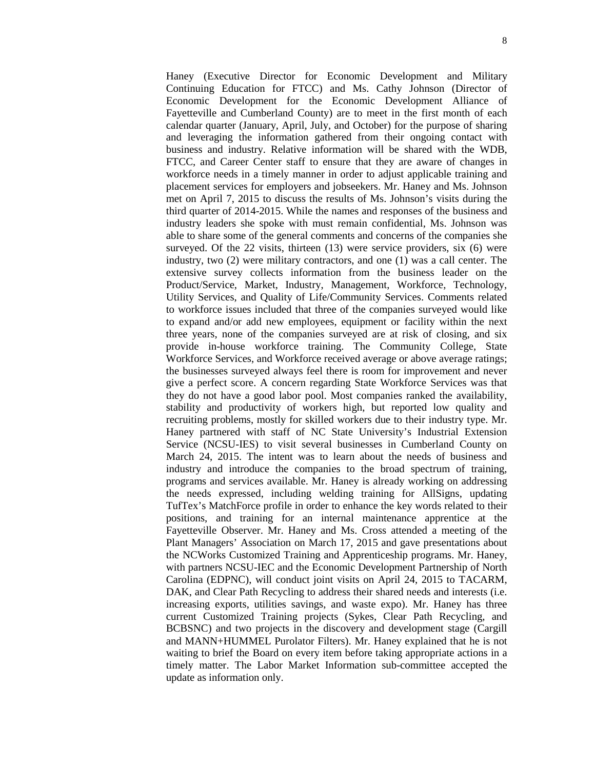Haney (Executive Director for Economic Development and Military Continuing Education for FTCC) and Ms. Cathy Johnson (Director of Economic Development for the Economic Development Alliance of Fayetteville and Cumberland County) are to meet in the first month of each calendar quarter (January, April, July, and October) for the purpose of sharing and leveraging the information gathered from their ongoing contact with business and industry. Relative information will be shared with the WDB, FTCC, and Career Center staff to ensure that they are aware of changes in workforce needs in a timely manner in order to adjust applicable training and placement services for employers and jobseekers. Mr. Haney and Ms. Johnson met on April 7, 2015 to discuss the results of Ms. Johnson's visits during the third quarter of 2014-2015. While the names and responses of the business and industry leaders she spoke with must remain confidential, Ms. Johnson was able to share some of the general comments and concerns of the companies she surveyed. Of the 22 visits, thirteen (13) were service providers, six (6) were industry, two (2) were military contractors, and one (1) was a call center. The extensive survey collects information from the business leader on the Product/Service, Market, Industry, Management, Workforce, Technology, Utility Services, and Quality of Life/Community Services. Comments related to workforce issues included that three of the companies surveyed would like to expand and/or add new employees, equipment or facility within the next three years, none of the companies surveyed are at risk of closing, and six provide in-house workforce training. The Community College, State Workforce Services, and Workforce received average or above average ratings; the businesses surveyed always feel there is room for improvement and never give a perfect score. A concern regarding State Workforce Services was that they do not have a good labor pool. Most companies ranked the availability, stability and productivity of workers high, but reported low quality and recruiting problems, mostly for skilled workers due to their industry type. Mr. Haney partnered with staff of NC State University's Industrial Extension Service (NCSU-IES) to visit several businesses in Cumberland County on March 24, 2015. The intent was to learn about the needs of business and industry and introduce the companies to the broad spectrum of training, programs and services available. Mr. Haney is already working on addressing the needs expressed, including welding training for AllSigns, updating TufTex's MatchForce profile in order to enhance the key words related to their positions, and training for an internal maintenance apprentice at the Fayetteville Observer. Mr. Haney and Ms. Cross attended a meeting of the Plant Managers' Association on March 17, 2015 and gave presentations about the NCWorks Customized Training and Apprenticeship programs. Mr. Haney, with partners NCSU-IEC and the Economic Development Partnership of North Carolina (EDPNC), will conduct joint visits on April 24, 2015 to TACARM, DAK, and Clear Path Recycling to address their shared needs and interests (i.e. increasing exports, utilities savings, and waste expo). Mr. Haney has three current Customized Training projects (Sykes, Clear Path Recycling, and BCBSNC) and two projects in the discovery and development stage (Cargill and MANN+HUMMEL Purolator Filters). Mr. Haney explained that he is not waiting to brief the Board on every item before taking appropriate actions in a timely matter. The Labor Market Information sub-committee accepted the update as information only.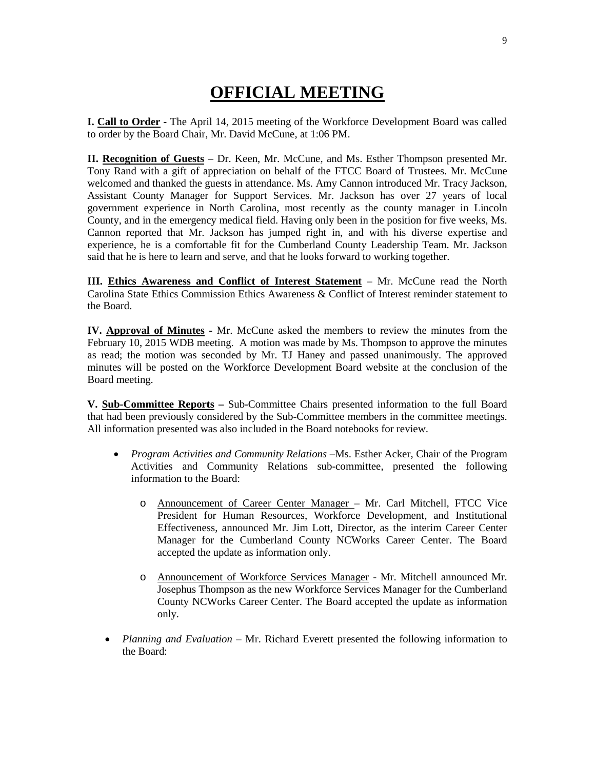## **OFFICIAL MEETING**

**I. Call to Order -** The April 14, 2015 meeting of the Workforce Development Board was called to order by the Board Chair, Mr. David McCune, at 1:06 PM.

**II. Recognition of Guests** – Dr. Keen, Mr. McCune, and Ms. Esther Thompson presented Mr. Tony Rand with a gift of appreciation on behalf of the FTCC Board of Trustees. Mr. McCune welcomed and thanked the guests in attendance. Ms. Amy Cannon introduced Mr. Tracy Jackson, Assistant County Manager for Support Services. Mr. Jackson has over 27 years of local government experience in North Carolina, most recently as the county manager in Lincoln County, and in the emergency medical field. Having only been in the position for five weeks, Ms. Cannon reported that Mr. Jackson has jumped right in, and with his diverse expertise and experience, he is a comfortable fit for the Cumberland County Leadership Team. Mr. Jackson said that he is here to learn and serve, and that he looks forward to working together.

**III. Ethics Awareness and Conflict of Interest Statement** – Mr. McCune read the North Carolina State Ethics Commission Ethics Awareness & Conflict of Interest reminder statement to the Board.

**IV. Approval of Minutes -** Mr. McCune asked the members to review the minutes from the February 10, 2015 WDB meeting. A motion was made by Ms. Thompson to approve the minutes as read; the motion was seconded by Mr. TJ Haney and passed unanimously. The approved minutes will be posted on the Workforce Development Board website at the conclusion of the Board meeting.

**V. Sub-Committee Reports –** Sub-Committee Chairs presented information to the full Board that had been previously considered by the Sub-Committee members in the committee meetings. All information presented was also included in the Board notebooks for review.

- *Program Activities and Community Relations –*Ms. Esther Acker, Chair of the Program Activities and Community Relations sub-committee, presented the following information to the Board:
	- o Announcement of Career Center Manager Mr. Carl Mitchell, FTCC Vice President for Human Resources, Workforce Development, and Institutional Effectiveness, announced Mr. Jim Lott, Director, as the interim Career Center Manager for the Cumberland County NCWorks Career Center. The Board accepted the update as information only.
	- o Announcement of Workforce Services Manager Mr. Mitchell announced Mr. Josephus Thompson as the new Workforce Services Manager for the Cumberland County NCWorks Career Center. The Board accepted the update as information only.
- *Planning and Evaluation* Mr. Richard Everett presented the following information to the Board: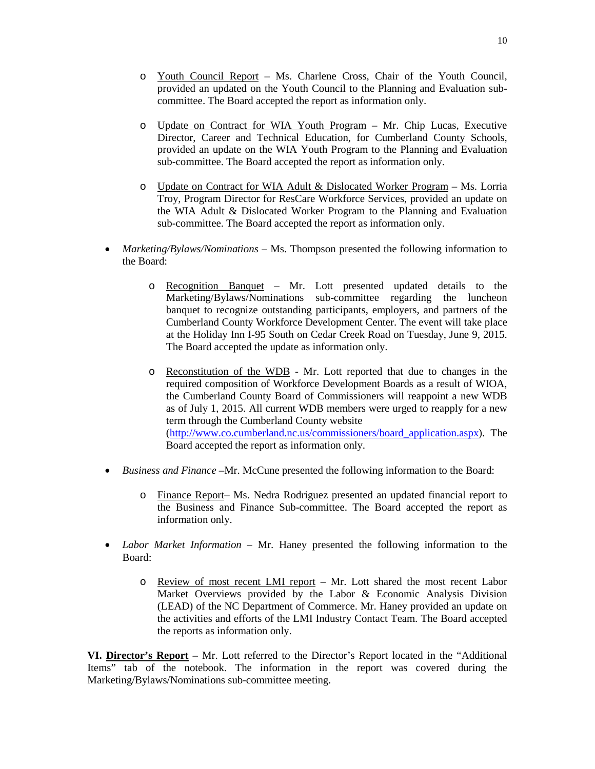- o Youth Council Report Ms. Charlene Cross, Chair of the Youth Council, provided an updated on the Youth Council to the Planning and Evaluation subcommittee. The Board accepted the report as information only.
- o Update on Contract for WIA Youth Program Mr. Chip Lucas, Executive Director, Career and Technical Education, for Cumberland County Schools, provided an update on the WIA Youth Program to the Planning and Evaluation sub-committee. The Board accepted the report as information only.
- $\circ$  Update on Contract for WIA Adult & Dislocated Worker Program Ms. Lorria Troy, Program Director for ResCare Workforce Services, provided an update on the WIA Adult & Dislocated Worker Program to the Planning and Evaluation sub-committee. The Board accepted the report as information only.
- *Marketing/Bylaws/Nominations* Ms. Thompson presented the following information to the Board:
	- o Recognition Banquet Mr. Lott presented updated details to the Marketing/Bylaws/Nominations sub-committee regarding the luncheon banquet to recognize outstanding participants, employers, and partners of the Cumberland County Workforce Development Center. The event will take place at the Holiday Inn I-95 South on Cedar Creek Road on Tuesday, June 9, 2015. The Board accepted the update as information only.
	- o Reconstitution of the WDB Mr. Lott reported that due to changes in the required composition of Workforce Development Boards as a result of WIOA, the Cumberland County Board of Commissioners will reappoint a new WDB as of July 1, 2015. All current WDB members were urged to reapply for a new term through the Cumberland County website [\(http://www.co.cumberland.nc.us/commissioners/board\\_application.aspx\)](http://www.co.cumberland.nc.us/commissioners/board_application.aspx). The Board accepted the report as information only.
- *Business and Finance –*Mr. McCune presented the following information to the Board:
	- o Finance Report– Ms. Nedra Rodriguez presented an updated financial report to the Business and Finance Sub-committee. The Board accepted the report as information only.
- *Labor Market Information* Mr. Haney presented the following information to the Board:
	- o Review of most recent LMI report Mr. Lott shared the most recent Labor Market Overviews provided by the Labor & Economic Analysis Division (LEAD) of the NC Department of Commerce. Mr. Haney provided an update on the activities and efforts of the LMI Industry Contact Team. The Board accepted the reports as information only.

**VI. Director's Report** – Mr. Lott referred to the Director's Report located in the "Additional Items" tab of the notebook. The information in the report was covered during the Marketing/Bylaws/Nominations sub-committee meeting.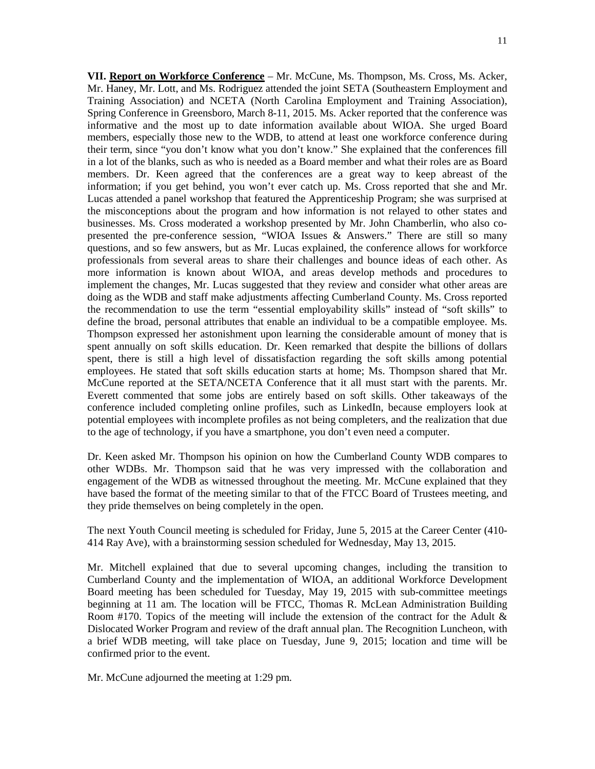**VII. Report on Workforce Conference** – Mr. McCune, Ms. Thompson, Ms. Cross, Ms. Acker, Mr. Haney, Mr. Lott, and Ms. Rodriguez attended the joint SETA (Southeastern Employment and Training Association) and NCETA (North Carolina Employment and Training Association), Spring Conference in Greensboro, March 8-11, 2015. Ms. Acker reported that the conference was informative and the most up to date information available about WIOA. She urged Board members, especially those new to the WDB, to attend at least one workforce conference during their term, since "you don't know what you don't know." She explained that the conferences fill in a lot of the blanks, such as who is needed as a Board member and what their roles are as Board members. Dr. Keen agreed that the conferences are a great way to keep abreast of the information; if you get behind, you won't ever catch up. Ms. Cross reported that she and Mr. Lucas attended a panel workshop that featured the Apprenticeship Program; she was surprised at the misconceptions about the program and how information is not relayed to other states and businesses. Ms. Cross moderated a workshop presented by Mr. John Chamberlin, who also copresented the pre-conference session, "WIOA Issues & Answers." There are still so many questions, and so few answers, but as Mr. Lucas explained, the conference allows for workforce professionals from several areas to share their challenges and bounce ideas of each other. As more information is known about WIOA, and areas develop methods and procedures to implement the changes, Mr. Lucas suggested that they review and consider what other areas are doing as the WDB and staff make adjustments affecting Cumberland County. Ms. Cross reported the recommendation to use the term "essential employability skills" instead of "soft skills" to define the broad, personal attributes that enable an individual to be a compatible employee. Ms. Thompson expressed her astonishment upon learning the considerable amount of money that is spent annually on soft skills education. Dr. Keen remarked that despite the billions of dollars spent, there is still a high level of dissatisfaction regarding the soft skills among potential employees. He stated that soft skills education starts at home; Ms. Thompson shared that Mr. McCune reported at the SETA/NCETA Conference that it all must start with the parents. Mr. Everett commented that some jobs are entirely based on soft skills. Other takeaways of the conference included completing online profiles, such as LinkedIn, because employers look at potential employees with incomplete profiles as not being completers, and the realization that due to the age of technology, if you have a smartphone, you don't even need a computer.

Dr. Keen asked Mr. Thompson his opinion on how the Cumberland County WDB compares to other WDBs. Mr. Thompson said that he was very impressed with the collaboration and engagement of the WDB as witnessed throughout the meeting. Mr. McCune explained that they have based the format of the meeting similar to that of the FTCC Board of Trustees meeting, and they pride themselves on being completely in the open.

The next Youth Council meeting is scheduled for Friday, June 5, 2015 at the Career Center (410- 414 Ray Ave), with a brainstorming session scheduled for Wednesday, May 13, 2015.

Mr. Mitchell explained that due to several upcoming changes, including the transition to Cumberland County and the implementation of WIOA, an additional Workforce Development Board meeting has been scheduled for Tuesday, May 19, 2015 with sub-committee meetings beginning at 11 am. The location will be FTCC, Thomas R. McLean Administration Building Room #170. Topics of the meeting will include the extension of the contract for the Adult & Dislocated Worker Program and review of the draft annual plan. The Recognition Luncheon, with a brief WDB meeting, will take place on Tuesday, June 9, 2015; location and time will be confirmed prior to the event.

Mr. McCune adjourned the meeting at 1:29 pm.